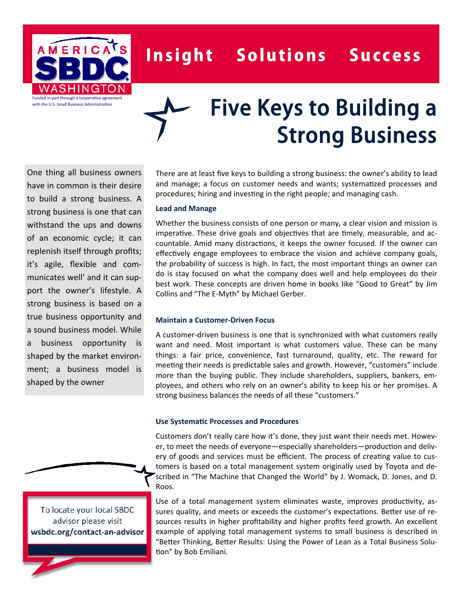

# Insight Solutions Success

# Five Keys to Building a Strong Business

One thing all business owners have in common is their desire to build a strong business. A strong business is one that can withstand the ups and downs of an economic cycle; it can replenish itself through profits; it's agile, flexible and communicates well' and it can support the owner's lifestyle. A strong business is based on a true business opportunity and a sound business model. While a business opportunity is shaped by the market environment; a business model is shaped by the owner

There are at least five keys to building a strong business: the owner's ability to lead and manage; a focus on customer needs and wants; systematized processes and procedures; hiring and investing in the right people; and managing cash.

#### **Lead and Manage**

Whether the business consists of one person or many, a clear vision and mission is imperative. These drive goals and objectives that are timely, measurable, and accountable. Amid many distractions, it keeps the owner focused. If the owner can effectively engage employees to embrace the vision and achieve company goals, the probability of success is high. In fact, the most important things an owner can do is stay focused on what the company does well and help employees do their best work. These concepts are driven home in books like "Good to Great" by Jim Collins and "The E-Myth" by Michael Gerber.

#### **Maintain a Customer‐Driven Focus**

A customer-driven business is one that is synchronized with what customers really want and need. Most important is what customers value. These can be many things: a fair price, convenience, fast turnaround, quality, etc. The reward for meeting their needs is predictable sales and growth. However, "customers" include more than the buying public. They include shareholders, suppliers, bankers, employees, and others who rely on an owner's ability to keep his or her promises. A strong business balances the needs of all these "customers."

#### **Use SystemaƟc Processes and Procedures**

Customers don't really care how it's done, they just want their needs met. However, to meet the needs of everyone—especially shareholders—production and delivery of goods and services must be efficient. The process of creating value to customers is based on a total management system originally used by Toyota and described in "The Machine that Changed the World" by J. Womack, D. Jones, and D. Roos.

Use of a total management system eliminates waste, improves productivity, assures quality, and meets or exceeds the customer's expectations. Better use of resources results in higher profitability and higher profits feed growth. An excellent example of applying total management systems to small business is described in "Better Thinking, Better Results: Using the Power of Lean as a Total Business Solu-Ɵon" by Bob Emiliani.

To locate your local SBDC advisor please visit **wsbdc.org/contact‐an‐advisor**